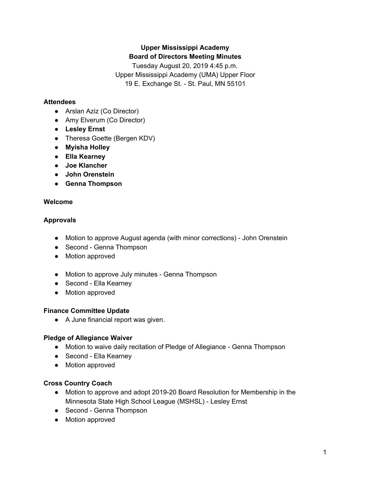# **Upper Mississippi Academy Board of Directors Meeting Minutes**

Tuesday August 20, 2019 4:45 p.m. Upper Mississippi Academy (UMA) Upper Floor 19 E. Exchange St. - St. Paul, MN 55101

### **Attendees**

- Arslan Aziz (Co Director)
- Amy Elverum (Co Director)
- **● Lesley Ernst**
- Theresa Goette (Bergen KDV)
- **● Myisha Holley**
- **● Ella Kearney**
- **● Joe Klancher**
- **● John Orenstein**
- **● Genna Thompson**

### **Welcome**

## **Approvals**

- Motion to approve August agenda (with minor corrections) John Orenstein
- Second Genna Thompson
- Motion approved
- Motion to approve July minutes Genna Thompson
- Second Ella Kearney
- Motion approved

### **Finance Committee Update**

● A June financial report was given.

## **Pledge of Allegiance Waiver**

- Motion to waive daily recitation of Pledge of Allegiance Genna Thompson
- Second Ella Kearney
- Motion approved

## **Cross Country Coach**

- Motion to approve and adopt 2019-20 Board Resolution for Membership in the Minnesota State High School League (MSHSL) - Lesley Ernst
- Second Genna Thompson
- Motion approved